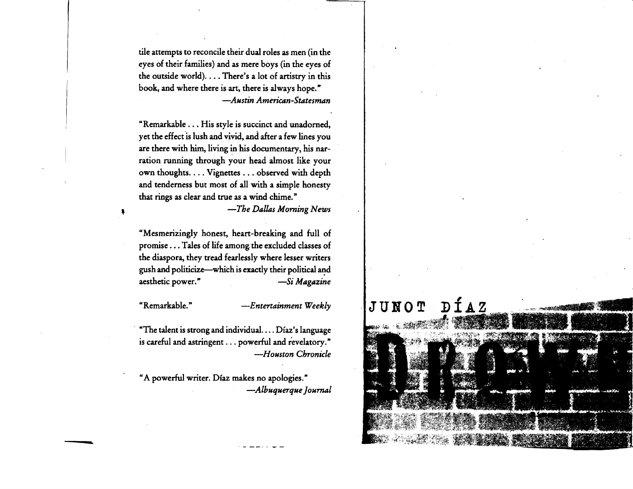tile attempts to reconcile their dual roles as men (in the eyes of their families) and as mere boys (in the eyes of the outside world) .... There's a lot of artistry in this book, and where there is art, there is always hope." *-Austin American-Statesman* 

"Remarkable ... His style is succinct and unadorned, yet the effect is lush and vivid, and after a few lines you are there with him, living in his documentary, his narration running through your head almost like your own thoughts. . . . Vignettes . . . observed with depth and tenderness but most of all with a simple honesty that rings as clear and true as a wind chime."

• *-The Dallas Morning News* 

"Mesmerizingly honest, heart-breaking and full of promise ... Tales of life among-the excluded classes of the diaspora, they tread fearlessly where lesser writers gush and politicize-which is exactly their political and aesthetic power." - Si Magazine

# "Remarkable." *-Entertainment Weekly*

**JUNOT** 

· "The talent is strong and individual .... Dfaz's language is careful and astringent ... powerful and revelatory." *-Houston Chronicle* 

"A powerful writer. Dfaz makes no apologies." *-Albuquerque Journal*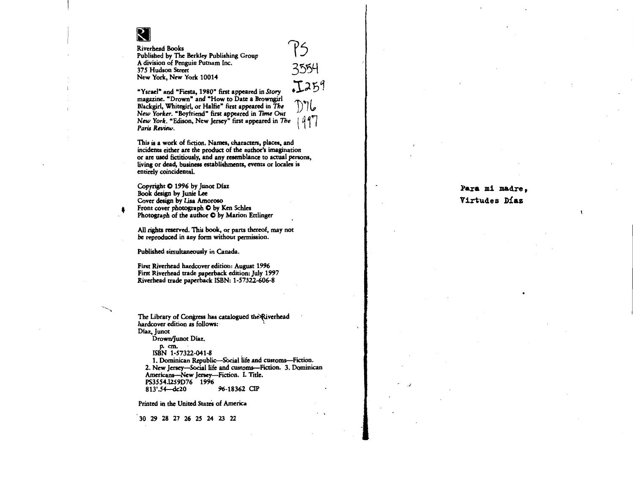**<sup>9</sup>**15 Riverhead Books Published by The Berkley Publishing Group A division of Penguin Putnam Inc. A division or renguin rumant inc.<br>375 Hudson Street **3554** New York, New York 10014

**"Ysrael" and "Fiesta, 1980" first appeared in** *Story* **<b>.**J. J. 59 magazine. "Drown" and "How to Date a Browngirl<br>Blackgirl, Whitegirl, or Halfie" first appeared in The  $\bigcap_{n=1}^{\infty}$ Blackgirl, Whitegirl, or Halfie" first appeared in *The* l) *li.P New Yorker.* "Boyfriend" first appeared in *Time Out New York.* "Edison, New Jersey" first appeared in *The* Paris *Review*.

This is a work of fiction. Names, characters, places, and incidents either are the product of the author's imagination or are used fictitiously, and any resemblance to actual persons, living or dead, business establishments, events or locales is entirely coincidental.

• Copyright **0** 1996 by Junot Diaz Book design by Junie Lee Cover design by Lisa Amoroso Front cover photograph **C** by Ken Schles Photograph of the author **C** by Marion Ettlinger

All rights reserved. This book, or parts thereof, may not be reproduced in any form without permission.

Published simultaneously in Canada.

First Riverhead hardcover edition: August 1996 First Riverhead trade paperback edition: July 1997 Riverhead trade paperback ISBN: 1-57322-606-8

The Library of Congress has catalogued the Riverhead hardcover edition as follows:· Díaz, Junot

Drown/Junot Díaz.

p. em. ISBN 1-57322-041-8 1. Dominican Republic-Social life and customs-Fiction. 2. New Jersey-Social life and customs-Fiction. 3. Dominican

Americans-New Jersey-Fiction. I. Tide. PS3554.1259D76 1996

813'.54-dc20 96-18362 CIP

Printed in the United States of America

30 29 28 27 26 25 24 23 22

# **Para mi madre, Virludes D:!az**

.J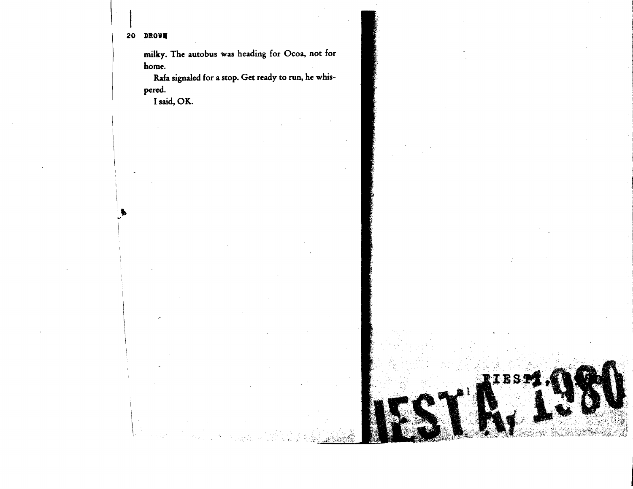$\mathbf{I}$ ...,., milky. The autobus was heading for Ocoa, not for home.

Rafa signaled for a stop. Get ready to run, he whispered.

. '

I said, OK.

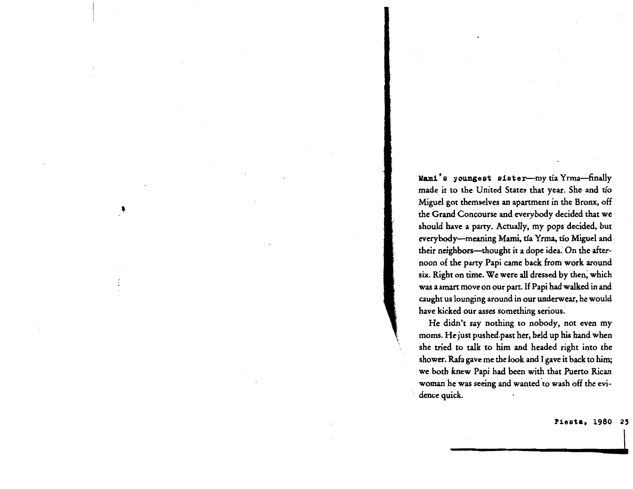Mami's youngest sister-my tía Yrma-finally made it to the United States that year. She- and *tio*  Miguel got themselves an apartment in the Bronx, off the Grand Concourse and everybody decided that we should have a party. Actually, my pops decided, but everybody--meaning Mami, tía Yrma, tío Miguel and their neighbors-thought it a dope idea. On the afternoon of the party Papi came back from work around six. Right on time. We were all dressed by then, which was a smart move on our part. If Papi had walked in and caught us lounging around in our underwear, he would have kicked our asses something serious.

•

He didn't say nothing to nobody, not even my moms. He just pushed.past her, held up his hand when she tried to talk to him and headed right into the shower. Rafa gave me the look and I gave it back to him; we both knew Papi had been with that Puerto Rican woman he was seeing and wanted 'to wash off the evidence quick.

Fiesta, 1980 23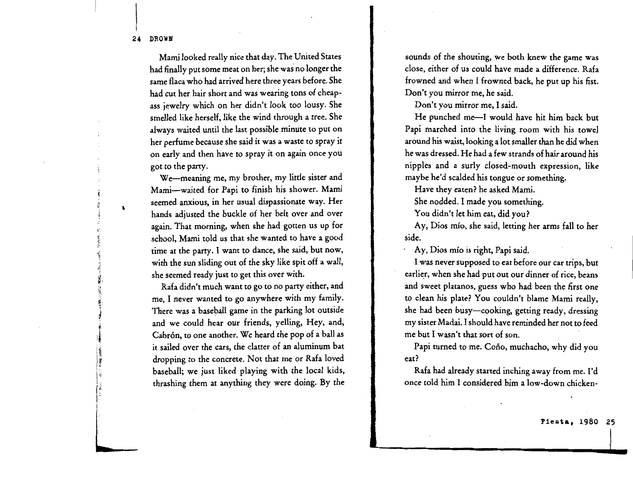! 1: ,.  $\frac{1}{2}$  \

 $\ddot{\phantom{a}}$ 

 $^{\prime\prime}$ 

:ol·

in the second second second second second second second second second second second second second second second second second second second second second second second second second second second second second second secon

if I.

L

Mami looked really nice that day. The United States had finally put some meat on her; she was no longer the same flaca who had arrived here three years before. She had cut her hair short and was wearing tons of cheapass jewelry which on her didn't look too lousy. She smelled like herself, like the wind through a tree. She always waited until the last possible minute to put on her perfume because she said it was a waste to spray it on early and then have to spray it on again once you got to the party.

We-meaning me, my brother, my little sister and Mami-waited for Papi to finish his shower. Mami seemed anxious, in her usual dispassionate way. Her hands adjusted the buckle of her belt over and over again. That morning, when she had gotten us up for school, Mami told us that she wanted to have a good time at the party. I want to dance, she said, but now, with the sun sliding out of the sky like spit off a wall, she seemed ready just to get this over with.

Rafa didn't much want to go to no party either, and me, I never wanted to go anywhere with my family. There was a baseball game in the parking lot outside and we could hear our friends, yelling, Hey, and, Cabrón, to one another. We heard the pop of a ball as it sailed over the cars, the clatter of an aluminum bat dropping to the concrete. Not that me or Rafa loved baseball; we just liked playing with the local kids, thrashing them at anything they were doing. By the

sounds of the shouting, we both knew the game was close, either of us could have made a difference. Rafa frowned and when I frowned back, he put up his fist. Don't you mirror me, he said.

Don't you mirror me, I said.

He punched me-I would have hit him back but Papi marched into the living room with his towel around his waist, looking a lot smaller than he did when he was dressed. He had a few strands of hair around his nipples and a surly closed-mouth expression, like maybe he'd scalded his tongue or something.

Have they eaten? he asked Mami.

She nodded. I made you something.

You didn't let him eat, did you?

Ay, Dios *mio,* she said, letting her arms fall to her side.

Ay, Dios mio is right, Papi said.

I was never supposed to eat before our car trips, but earlier, when she had put out our dinner of rice, beans and sweet platanos, guess who had been the first one to clean his plate? You couldn't blame Mami really, she had been busy-cooking, getting ready, dressing my sister Madai. I should have reminded her not to feed me but I wasn't that sort of son.

Papi turned to me. Coño, muchacho, why did you eat?

Rafa had already started inching away from me. I'd once told him I considered him a low-down chicken-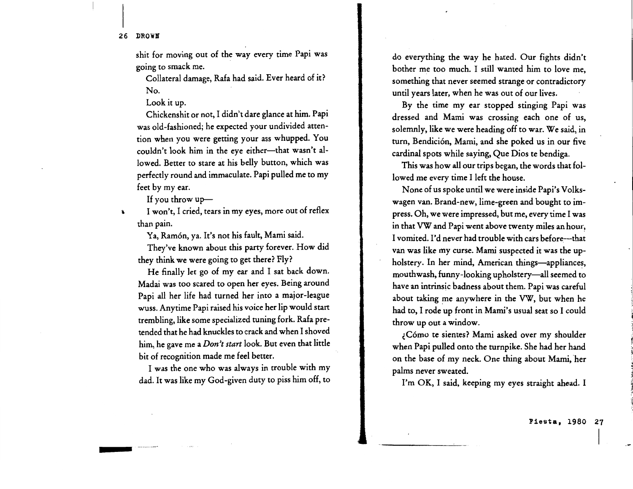$\ddot{\phantom{0}}$ 

shit for moving out of the way every time Papi was going to smack me.

Collateral damage, Rafa had said. Ever heard of it? No.

Look it up.

Chickenshit or not, I didn't dare glance at him. Papi was old-fashioned; he expected your undivided attention when you were getting your ass whupped. You couldn't look him in the eye either-that wasn't allowed. Better to stare at his belly button, which was perfectly round and immaculate. Papi pulled me to my feet by my ear.

If you throw  $up-$ 

I won't, I cried, tears in my eyes, more out of reflex than pain.

Ya, Ramon, ya. It's not his fault, Mami said.

They've known about this party forever. How did they think we were going to get there? Fly?

He finally let go of my ear and I sat back down. Madai was too scared to open her eyes. Being around Papi all her life had turned her into a major-league wuss. Anytime Papi raised his voice her lip would start trembling, like some specialized tuning fork. Rafa pretended that he had knuckles to crack and when I shoved him, he gave me a *Don't start* look. But even that little bit of recognition made me feel better.

I was the one who was always in trouble with my dad. It was like my God-given duty to piss him off, to do everything the way he hated. Our fights didn't bother me too much. I still wanted him to love me, something that never seemed strange or contradictory until years later, when he was out of our lives.

By the time my ear stopped stinging Papi was dressed and Mami was crossing each one of us, solemnly, like we were heading off to war. We said, in turn, Bendición, Mami, and she poked us in our five cardinal spots while saying, Que Dios te bendiga.

This was how all our trips began, the words that followed me every time I left the house.

None of us spoke until we were inside Papi's Volkswagen van. Brand-new, lime-green and bought to impress. Oh, we were impressed, but me, every time I was in that VW and Papi went above twenty miles an hour, I vomited. I'd never had trouble with cars before----that van was like my curse. Mami suspected it was the upholstery. In her mind, American things-appliances, mouthwash, funny-looking upholstery-all seemed to have an intrinsic badness about them. Papi was careful about taking me anywhere in the VW, but when he had to, I rode up front in Mami's usual seat so I could throw up out a window.

(Como te sientes? Mami asked over my shoulder when Papi pulled onto the turnpike. She had her hand on the base of my neck. One thing about Mami, 'her palms never sweated.

I'm OK, I said, keeping my eyes straight ahead. I

### Fiesta, 1980 27

 $\mathbf{I}$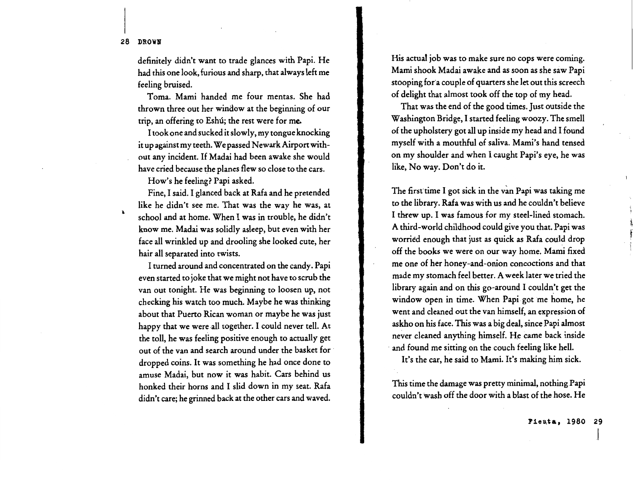l

definitely didn't want to trade glances with Papi. He had this one look, furious and sharp, that always left me feeling bruised.

Toma. Mami handed me four mentas. She had thrown three out her window at the beginning of our trip, an offering to Eshú; the rest were for me.

I took one and sucked it slowly, my tongue knocking it up against my teeth. We passed Newark Airport without any incident. If Madai had been awake she would have cried because the planes flew so close to the cars.

How's he feeling? Papi asked.

Fine, I said. I glanced back at Rafa and he pretended like he didn't see me. That was the way he was, at school and at home. When I was in trouble, he didn't know me. Madai was solidly asleep, but even with her face all wrinkled up and drooling she looked cute, her hair all separated into twists.

I turned around and concentrated on the candy. Papi even started to joke that we might not have to scrub the van out tonight. He was beginning to loosen up, not checking his watch too much. Maybe he was thinking about that Puerto Rican woman or maybe he was just happy that we were all together. I could never tell. At the toll, he was feeling positive enough to actually get out of the van and search around under the basket for · dropped coins. It was something he had once done to amuse Madai, but now it was habit. Cars behind us honked their horns and I slid down in my seat. Rafa didn't care; he grinned back at the other cars and waved.

His actual job was to make sure no cops were coming. Mami shook Madai awake and as soon as she saw Papi stooping for·a couple of quarters she let out this screech of delight that almost took off the top of my head.

That was the end of the good times. Just outside the Washington Bridge, I started feeling woozy. The smell of the upholstery got all up inside my head and I found myself with a mouthful of saliva. Mami's hand tensed on my shoulder and when I caught Papi's eye, he was like, No way. Don't do it.

The first time I got sick in the van Papi was taking me to the library. Rafa was with us and he couldn't believe I threw up. I was famous for my steel-lined stomach. A third-world childhood could give you that. Papi was worried enough that just as quick as Rafa could drop off the books we were on our way home. Mami fixed me one of her honey-and-onion concoctions and that made my stomach feel better. A week later we tried the library again and on this go-around I couldn't get the window open in time. When Papi got me home, he went and cleaned out the van himself, an expression of askho on his face. This was a big deal, since Papi almost never cleaned anything himself. He came back inside and found me sitting on the couch feeling like hell.

It's the car, he said to Mami. It's making him sick.

This time the damage was pretty minimal, nothing Papi couldn't wash off the door with a blast of the hose. He

I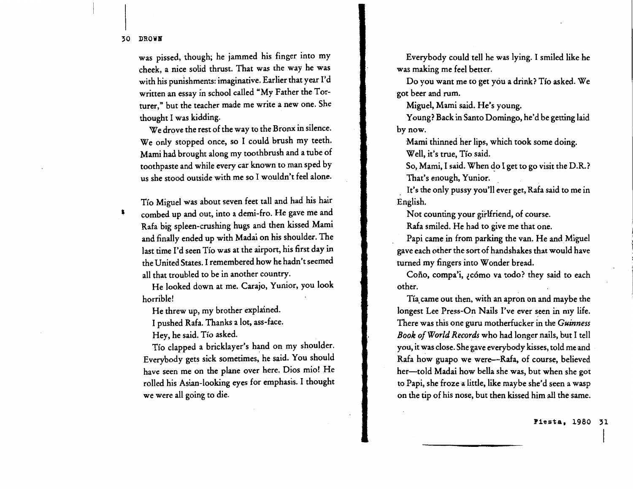was pissed, though; he jammed his finger into my cheek, a nice solid thrust. That was the way he was with his punishments: imaginative. Earlier that year I'd written an essay in school called "My Father the Torturer," but the teacher made me write a new one. She thought I was kidding.

We drove the rest of the way to the Bronx in silence. We only stopped once, so I could brush my teeth. Mami had brought along my toothbrush and a tube of toothpaste and while every car known to man sped by us she stood outside with me so I wouldn't feel alone.

Tfo Miguel was about seven feet tall and had his hair • combed up and out, into a demi-fro. He gave me and Rafa big spleen-crushing hugs and then kissed Mami and finally ended up with Madai on his shoulder. The last time I'd seen Tio was at the airport, his first day in the United States. I remembered how he hadn't seemed all that troubled to be in another country.

He looked down at me. Carajo, Yunior, you look horrible!

He threw up, my brother explained.

I pushed Rafa. Thanks a lot, ass-face.

Hey, he said. Tio asked.

Tio clapped a bricklayer's hand on my shoulder. Everybody gets sick sometimes, he said. You should have seen me on the plane over here. Dios mio! He rolled his Asian-looking eyes for emphasis. I thought we were all going to die.

Everybody could tell he was lying. I smiled like he was making me feel better.

Do you want me to get you a drink? Tío asked. We got beer and rum.

Miguel, Mami said. He's young.

Young? Back in Santo Domingo, he'd be getting laid by now.

Mami thinned her lips, which took some doing. Well, it's true, Tfo said.

So, Mami, I said. When do I get to go visit the D.R.? That's enough, Yunior. .

It's the only pussy you'll ever get, Rafa said to me in English.

Not counting your girlfriend, of course.

Rafa smiled. He had to give me that one.

Papi came in from parking the van. He and Miguel gave each other the sort of handshakes that would have turned my fingers into Wonder bread.

Coño, compa'i, ¿cómo va todo? they said to each other.

Tfa. came out then, with an apron on and maybe the longest Lee Press-On Nails I've ever seen in my life. There was this one guru motherfucker in the *Guinness Book of World Records* who had longer nails, but I tell you, it was close. She gave everybody kisses, told me and Rafa how guapo we were-Rafa, of course, believed her-told Madai how bella she was, but when she got to Papi, she froze a little, like maybe she'd seen a wasp on the tip of his nose, but then kissed him all the same.

 $\mathbf{I}$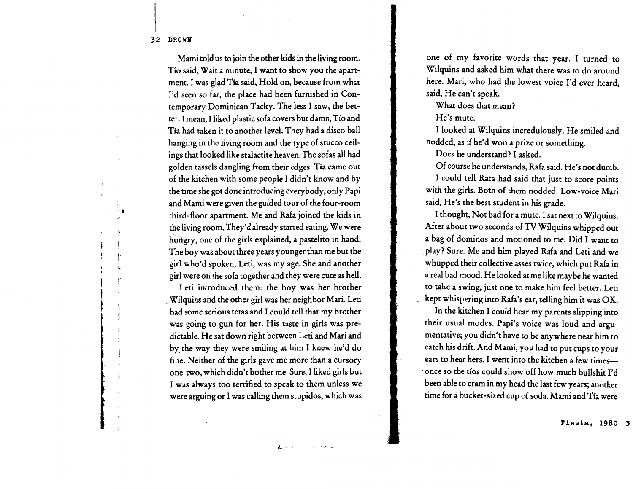## *32* DROWlll

;, I'

 $\mathfrak{t}^-$ 

t

Mami told us to join the other kids in the living room. Tio said, Wait a minute, I want to show you the apartment. I was glad Tia said, Hold on, because from what I'd seen so far, the place had been furnished in Contemporary Dominican Tacky. The less I saw, the better. I mean, I liked plastic sofa covers but damn, Tio and Tia had taken it to another level. They had a disco ball hanging in the living room and the type of stucco ceilings that looked like stalactite heaven. The sofas all had golden tassels dangling from their edges. Tia came out of the kitchen with some people I didn't know and by the time she got done introducing everybody, only Papi and Mami were given the guided tour of the four-room third-floor apartment. Me and Rafa joined the kids in the living room. They'd already started eating. We were hungry, one of the girls explained, a pastelito in hand. The boy was about three years younger than me but the girl who'd spoken, Leti, was my age. She and another girl were on the sofa together and they were cute as hell.

Leti introduced them: the boy was her brother . Wilquins and the other girl was her neighbor Mari. Leti had some serious tetas and I could tell that my brother was going to gun for her. His taste in girls was predictable. He sat down right between Leti and Mari and by, the way they were smiling at him I knew he'd do fine. Neither of the girls gave me more than a cursory one-two, which didn't bother me. Sure, I liked girls but I was always too terrified to speak to them unless we were arguing or I was calling them stupidos, which was

 $\mathbf{r}$ .

\_.-. - .• .,. --

one of my favorite words that year. I turned to Wilquins and asked him what there was to do around here. Mari, who had the lowest voice I'd ever heard, said, He can't speak.

What does that mean?

He's mute.

I looked at Wilquins incredulously. He smiled and nodded, as if he'd won a prize or something.

Does he understand? I asked.

Of course he understands, Rafa said. He's not dumb.

I could tell Rafa had said that just to score points with the girls. Both of them nodded. Low-voice Mari said, He's the best student in his grade.

I thought, Not bad for a mute. I sat next to Wilquins. After about two seconds of TV Wilquins' whipped out a bag of dominos and motioned to me. Did I want to . play? Sure. Me and him played Rafa and Leti and we whupped their collective asses twice, which put Rafa in a real bad mood. He looked at me like maybe he wanted to take a swing, just one to make him feel better. Leti kept whispering into Rafa's ear, telling him it was OK .

In the kitchen I could hear my parents slipping into their usual modes. Papi's voice was loud and argumentative; you didn't have to be anywhere near him to catch his drift. And Mami, you had to put cups to your ears to hear hers. I went into the kitchen a few times-. once so the tios could show off how much bullshit I'd been able to cram in my head the last few years; another time for a bucket-sized cup of soda. Mami and Tia were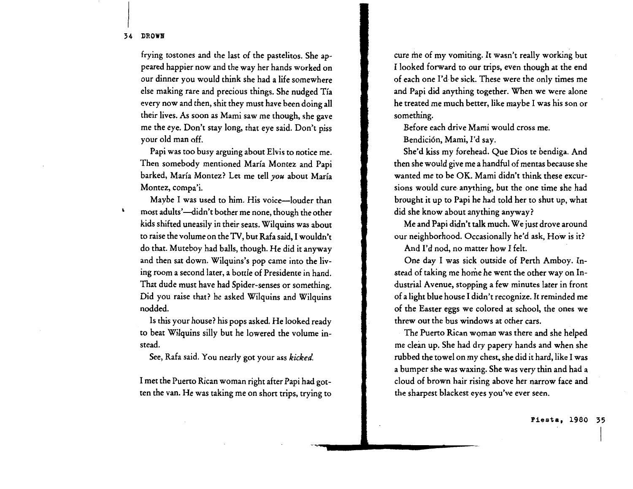l

frying tostones and the last of the pastelitos. She appeared happier now and the way her hands worked on our dinner you would think she had a life somewhere else making rare and precious things. She nudged Tia every now and then, shit they must have been doing all their lives. As soon as Mami saw me though, she gave me the eye. Don't stay long, that eye said. Don't piss your old man off.

Papi was too busy arguing about Elvis to notice me. Then somebody mentioned Maria Montez and Papi barked, Maria Montez? Let me tell *you* about Maria Montez, compa'i.

Maybe I was used to him. His voice-louder than most adults'-didn't bother me none, though the other kids shifted uneasily in their seats. Wilquins was about to raise the volume on the TV, but Rafa said, I wouldn't do that. Muteboy had balls, though. He did it anyway and then sat down. Wilquins's pop came into the living room a second later, a bottle of Presidente in hand. That dude must have had Spider-senses or something. Did you raise that? he asked Wilquins and Wilquins nodded.

Is this your house? his pops asked. He looked ready to beat Wilquins silly but he lowered the volume instead.

See, Rafa said. You nearly got your ass *kicked.* 

I met the Puerto Rican woman right after Papi had gotten the van. He was taking me on short trips, trying to cure me of my vomiting. It wasn't really working but I looked forward to our trips, even though at the end of each one I'd be sick. These were the only times me and Papi did anything together. When we were alone he treated me much better, like maybe I was his son or something.

Before each drive Mami would cross me. Bendici6n, Mami, I'd say.

She'd kiss my forehead. Que Dios te bendiga. And then she would give me a handful of mentas because she wanted me to be OK. Mami didn't think these excursions would cure. anything, but the one time she had brought it up to Papi he had told her to shut up, what did she know about anything anyway?

Me and Papi didn't talk much. We just drove around our neighborhood. Occasionally he'd ask, How is it?

And I'd nod, no matter how I felt.

One day I was sick outside of Perth Amboy. Instead of taking me home he went the other way on Industrial Avenue, stopping a few minutes later in front of a light blue house I didn't recognize. It reminded me of the Easter eggs we colored at school, the ones we threw out the bus windows at other cars.

The Puerto Rican woman was there and she helped me clean up. She had dry papery hands and when she rubbed the towel on my chest, she did it hard, like I was a bumper she was waxing. She was very thin and had a cloud of brown hair rising above her narrow face and the sharpest blackest eyes you've ever seen.

Fiesta, 1980

 $\overline{\phantom{a}}$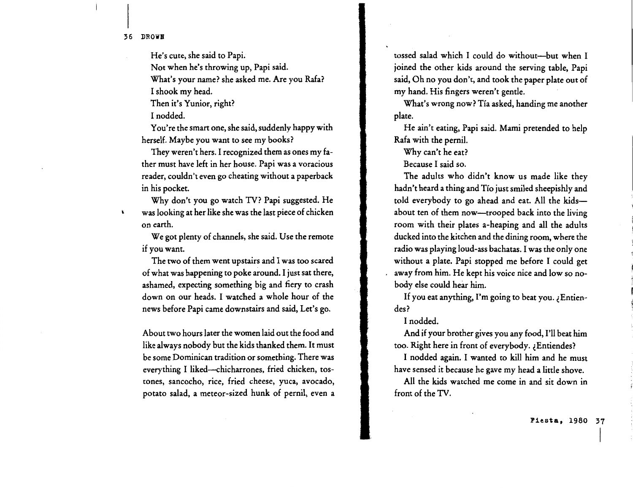:56 DROWli

He's cute, she said to Papi.

Not when he's throwing up, Papi said.

What's your name? she asked me. Are you Rafa? I shook my head.

Then it's Yunior, right?

I nodded.

You're the smart one, she said, suddenly happy with herself. Maybe you want to see my books?

They weren't hers. I recognized them as ones my father must have left in her house. Papi was a voracious reader, couldn't even go cheating without a paperback in his pocket.

Why don't you go watch TV? Papi suggested. He was looking at her like she was the last piece of chicken on earth.

We got plenty of channels, she said. Use the remote if you want.

The two of them went upstairs and I was too scared of what was happening to poke around. I just sat there, ashamed, expecting something big and fiery to crash down on our heads. I watched a whole hour of the news before Papi came downstairs and said, Let's go.

About two hours later the women laid out the food and like always nobody but the kids thanked them. It must be some Dominican tradition or something. There was everything I liked-chicharrones, fried chicken, tostones, sancocho, rice, fried cheese, yuca, avocado, potato salad, a meteor-sized hunk of pernil, even a

tossed salad which I could do without-but when I joined the other kids around the serving table, Papi said, Oh no you don't, and took the paper plate out of my hand. His fingers weren't gentle.

What's wrong now? Tia asked, handing me another plate.

He ain't eating, Papi said. Mami pretended to help Rafa with the pernil.

Why can't he eat?

Because I said so.

The adults who didn't know us made like they hadn't heard a thing and Tio just smiled sheepishly and told everybody to go ahead and eat. All the kidsabout ten of them now-trooped back into the living room with their plates a-heaping and all the adults ducked into the kitchen and the dining room, where the radio was playing loud-ass bachatas. I was the only one without a plate. Papi stopped me before I could get away from him. He kept his voice nice and low so nobody else could hear him.

If you eat anything, I'm going to beat you. ¿Entiendes?

I nodded.

And if your brother gives you any food, I'll beat him too. Right here in front of everybody. ¿Entiendes?

I nodded again. I wanted to kill him and he must have sensed it because he gave my head a little shove.

All the kids watched me come in and sit down in front of the TV.

I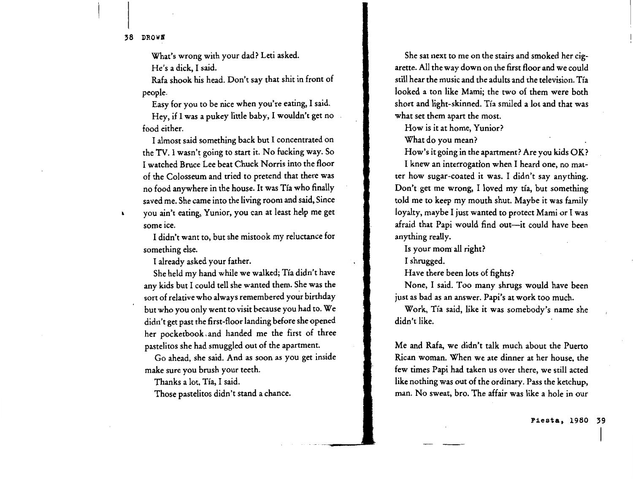:58 DROW11

'

What's wrong with your dad? Leti asked. He's a dick, I said.

Rafa shook his head. Don't say that shit in front of people.

Easy for you to be nice when you're eating, I said.

Hey, if I was a pukey little baby, I wouldn't get no food either.

I almost said something back but I concentrated on the TV. I wasn't going to start it. No fucking way. So I watched Bruce Lee beat Chuck Norris into the floor of the Colosseum and tried to pretend that there was no food anywhere in the house. It was Tfa who finally saved me. She came into the living room and said, Since you ain't eating, Yunior, you can at least help me get some ice.

I didn't want to, but she mistook my reluctance for something else.

I already asked your father.

She held my hand while we walked; Tia didn't have any kids but I could tell she wanted them. She was the sort of relative who always remembered your birthday but who you only went to visit because you had to. We didn't get past the first-floor landing before she opened her pocketbook, and handed me the first of three pastelitos she had smuggled out of the apartment.

Go ahead, she said. And as soon as you get inside make sure you brush your teeth.

Thanks a lot, Tia, I said.

Those pastelitos didn't stand a chance.

She sat next to me on the stairs and smoked her cigarette. All the way down on the first floor and we could still hear the music and the adults and the television. Tfa looked a ton like Mami; the two of them were both short and light-skinned. Tfa smiled a lot and that was what set them apart the most.

How is it at home, Yunior?

What do you mean?

How's it going in the apartment? Are you kids OK?

I knew an interrogation when I heard one, no matter how sugar-coated it was. I didn't say anything. Don't get me wrong, I loved my tia, but something told me to keep my mouth shut. Maybe it was family loyalty, maybe I just wanted to protect Mami or I was afraid that Papi would find out-it could have been anything really.

Is your mom all right?

I shrugged.

Have there been lots of fights?

None, I said. Too many shrugs would have been just as bad as an answer. Papi's at work too much.

Work, Tia said, like it was somebody's name she didn't like.

Me and Rafa, we didn't talk much about the Puerto Rican woman. When we ate dinner at her house, the few times Papi had taken us over there, we still acted like nothing was out of the ordinary. Pass the ketchup, man. No sweat, bro. The affair was like a hole in our

## Fiesta, 1980 39

 $\vert$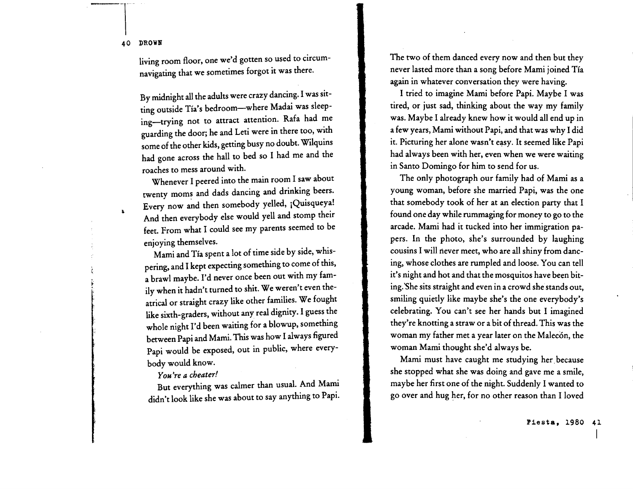--l

'

living room floor, one we'd gotten so used to circumnavigating that we sometimes forgot it was there.

By midnight all the adults were crazy dancing. I was sitting outside Tia's bedroom-where Madai was sleeping-trying not to attract attention. Rafa had me guarding the door; he and Leti were in there too, with some of the other kids, getting busy no doubt. Wilquins had gone across the hall to bed so I had me and the roaches to mess around with.

Whenever I peered into the main room I saw about twenty moms and dads dancing and drinking beers. Every now and then somebody yelled, jQuisqueya! And then everybody else would yell and stomp their feet. From what I could see my parents seemed to be enjoying themselves.

Mami and Tia spent a lot of time side by side, whispering, and I kept expecting something to come of this, a brawl maybe. I'd never once been out with my family when it hadn't turned to shit. We weren't even theatrical or straight crazy like other families. We fought like sixth-graders, without any real dignity. I guess the whole night I'd been waiting for a blowup, something between Papi and Mami. This was how I always figured Papi would be exposed, out in public, where everybody would know.

# *You're a cheater!*

 But everything was calmer than usual. And Mami didn't look like she was about to say anything to Papi.

The two of them danced every now and then but they never lasted more than a song before Mami joined Tia again in whatever conversation they were having.

I tried to imagine Mami before Papi. Maybe I was tired, or just sad, thinking about the way my family was. Maybe I already knew how it would all end up in a few years, Mami without Papi, and that was why I did it. Picturing her alone wasn't easy. It seemed like Papi had always been with her, even when we were waiting in Santo Domingo for him to send for us.

The only photograph our family had of Mami as a young woman, before she married Papi, was the one that somebody took of her at an election party that I found one day while rummaging for money to go to the arcade. Mami had it tucked into her immigration papers. In the photo, she's surrounded by laughing cousins I will never meet, who are all shiny from dancing, whose clothes are rumpled and loose. You can tell it's night and hot and that the mosquitos have been biting. 'She sits straight and even in a crowd she stands out, smiling quietly like maybe she's the one everybody's celebrating. You can't see her hahds but I imagined they're knotting a straw or a bit of thread. This was the woman my father met a year later on the Malecon, the woman Mami thought she'd always be.

Mami must have caught me studying her because she stopped what she was doing and gave me a smile, maybe her first one of the night. Suddenly I wanted to go over and hug her, for no other reason than I loved

Fiesta, 1980 41